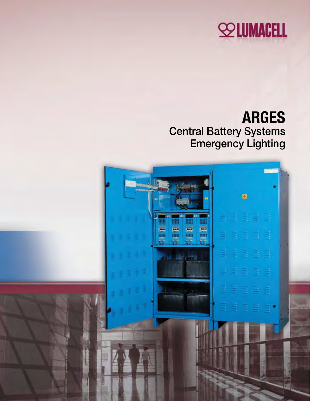# **SOLUMACELL**

## ARGES Central Battery Systems Emergency Lighting

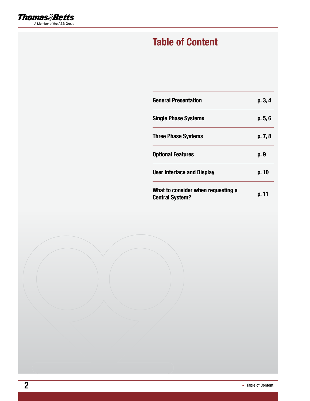

### Table of Content

| <b>General Presentation</b>                                  | p.3,4   |
|--------------------------------------------------------------|---------|
| <b>Single Phase Systems</b>                                  | p.5,6   |
| <b>Three Phase Systems</b>                                   | p. 7, 8 |
| <b>Optional Features</b>                                     | p. 9    |
| <b>User Interface and Display</b>                            | p. 10   |
| What to consider when requesting a<br><b>Central System?</b> | p. 11   |

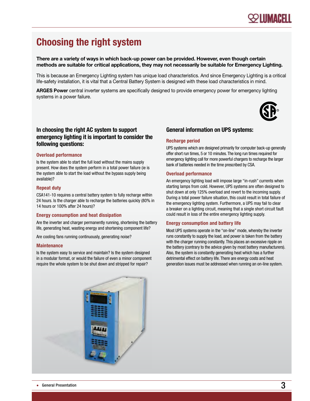### Choosing the right system

#### There are a variety of ways in which back-up power can be provided. However, even though certain methods are suitable for critical applications, they may not necessarily be suitable for Emergency Lighting.

This is because an Emergency Lighting system has unique load characteristics. And since Emergency Lighting is a critical life-safety installation, it is vital that a Central Battery System is designed with these load characteristics in mind.

ARGES Power central inverter systems are specifically designed to provide emergency power for emergency lighting systems in a power failure.



#### In choosing the right AC system to support emergency lighting it is important to consider the following questions:

#### Overload performance

Is the system able to start the full load without the mains supply present. How does the system perform in a total power failure (ie is the system able to start the load without the bypass supply being available)?

#### Repeat duty

CSA141-10 requires a central battery system to fully recharge within 24 hours. Is the charger able to recharge the batteries quickly (80% in 14 hours or 100% after 24 hours)?

#### Energy consumption and heat dissipation

Are the inverter and charger permanently running, shortening the battery life, generating heat, wasting energy and shortening component life?

Are cooling fans running continuously, generating noise?

#### **Maintenance**

Is the system easy to service and maintain? Is the system designed in a modular format, or would the failure of even a minor component require the whole system to be shut down and stripped for repair?

#### General information on UPS systems:

#### Recharge period

UPS systems which are designed primarily for computer back-up generally offer short run times, 5 or 10 minutes. The long run times required for emergency lighting call for more powerful chargers to recharge the larger bank of batteries needed in the time prescribed by CSA.

#### Overload performance

An emergency lighting load will impose large "in-rush" currents when starting lamps from cold. However, UPS systems are often designed to shut down at only 125% overload and revert to the incoming supply. During a total power failure situation, this could result in total failure of the emergency lighting system. Furthermore, a UPS may fail to clear a breaker on a lighting circuit, meaning that a single short circuit fault could result in loss of the entire emergency lighting supply.

#### Energy consumption and battery life

Most UPS systems operate in the "on-line" mode, whereby the inverter runs constantly to supply the load, and power is taken from the battery with the charger running constantly. This places an excessive ripple on the battery (contrary to the advice given by most battery manufacturers). Also, the system is constantly generating heat which has a further detrimental effect on battery life. There are energy costs and heat generation issues must be addressed when running an on-line system.

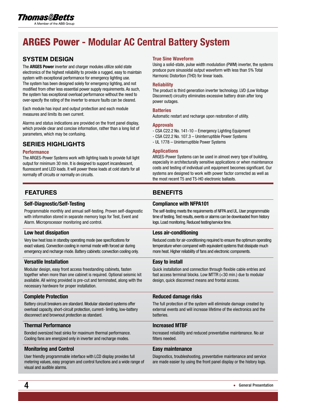### ARGES Power - Modular AC Central Battery System

#### System design

The **ARGES Power** inverter and charger modules utilize solid state electronics of the highest reliability to provide a rugged, easy to maintain system with exceptional performance for emergency lighting use. The system has been designed solely for emergency lighting, and not modified from other less essential power supply requirements. As such, the system has exceptional overload performance without the need to over-specify the rating of the inverter to ensure faults can be cleared.

Each module has input and output protection and each module measures and limits its own current.

Alarms and status indications are provided on the front panel display, which provide clear and concise information, rather than a long list of parameters, which may be confusing.

#### Series highlights

#### **Performance**

The ARGES-Power Systems work with lighting loads to provide full light output for minimum 30 min. It is designed to support incandescent, fluorescent and LED loads. It will power these loads at cold starts for all normally off circuits or normally on circuits.

#### FEATURES BENEFITS

#### Self-Diagnostic/Self-Testing

Programmable monthly and annual self-testing. Proven self-diagnostic with information stored in separate memory logs for Test, Event and Alarm. Microprocessor monitoring and control.

#### Low heat dissipation

Very low heat loss in standby operating mode (see specifications for exact values). Convection cooling in normal mode with forced air during emergency and recharge mode. Battery cabinets: convection cooling only.

#### Versatile Installation

Modular design, easy front access freestanding cabinets, fasten together when more than one cabinet is required. Optional seismic kit available. All wiring provided is pre-cut and terminated, along with the necessary hardware for proper installation.

#### Complete Protection

Battery circuit breakers are standard. Modular standard systems offer overload capacity, short-circuit protection, current- limiting, low-battery disconnect and brownout protection as standard.

#### Thermal Performance

Bonded oversized heat sinks for maximum thermal performance. Cooling fans are energized only in inverter and recharge modes.

#### Monitoring and Control

User friendly programmable interface with LCD display provides full metering values, easy program and control functions and a wide range of visual and audible alarms.

#### True Sine Waveform

Using a solid-state, pulse width modulation (PWM) inverter, the systems produce pure sinusoidal output waveform with less than 5% Total Harmonic Distortion (THD) for linear loads.

#### Reliability

The product is third generation inverter technology. LVD (Low Voltage Disconnect) circuitry eliminates excessive battery drain after long power outages.

#### **Batteries**

Automatic restart and recharge upon restoration of utility.

#### Approvals

- CSA C22.2 No. 141-10 Emergency Lighting Equipment
- CSA C22.2 No. 107.3 Uninterruptible Power Systems
- UL 1778 Uninterruptible Power Systems

#### Applications

ARGES-Power Systems can be used in almost every type of building, especially in architecturally sensitive applications or when maintenance costs and testing of individual unit equipment becomes significant. Our systems are designed to work with power factor corrected as well as the most recent T5 and T5-HO electronic ballasts.

#### Compliance with NFPA101

The self-testing meets the requirements of NFPA and UL. User programmable time of testing. Test results, events or alarms can be downloaded from history logs. Load monitoring. Reduced testing/service time.

#### Less air-conditioning

Reduced costs for air-conditioning required to ensure the optimum operating temperature when compared with equivalent systems that dissipate much more heat. Higher reliability of fans and electronic components.

#### Easy to install

Quick installation and connection through flexible cable entries and fast access terminal blocks. Low MTTR (<30 min.) due to modular design, quick disconnect means and frontal access.

#### Reduced damage risks

The full protection of the system will eliminate damage created by external events and will increase lifetime of the electronics and the batteries.

#### Increased MTBF

Increased reliability and reduced preventative maintenance. No air filters needed.

#### Easy maintenance

Diagnostics, troubleshooting, preventative maintenance and service are made easier by using the front panel display or the history logs.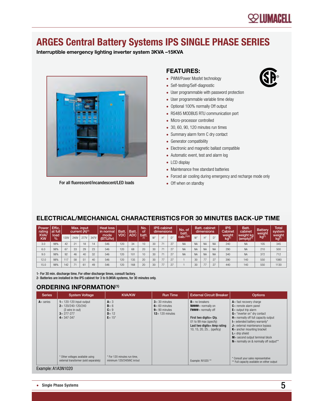### **SOLUMACELL**

### ARGES Central Battery Systems IPS SINGLE PHASE SERIES

Interruptible emergency lighting inverter system 3KVA –15KVA



For all fluorescent/incandescent/LED loads

#### Features:

- PWM/Power Mosfet technology
- Self-testing/Self-diagnostic
- User programmable with password protection
- User programmable variable time delay
- Optional 100% normally Off output
- RS485 MODBUS RTU communication port
- Micro-processor controlled
- 30, 60, 90, 120 minutes run times
- Summary alarm form C dry contact
- Generator compatibility
- Electronic and magnetic ballast compatible
- Automatic event, test and alarm log
- LCD display
- Maintenance free standard batteries
- Forced air cooling during emergency and recharge mode only
- Off when on standby

#### ELECTRICAL/MECHANICAL CHARACTERISTICS for 30 minutes back-up time

| Power<br>rating          | Effic.<br>at full     |             | current (A) <sup>(1)</sup> | Max. input  |      | Heat loss<br>in normal |     | Batt | Batt.        | No.<br>оf |                | <b>IPS</b> cabinet<br>dimensions |                        | No. of<br>batt. |           | <b>Batt.</b> cabinet<br>dimensions |                             | <b>IPS</b><br>Cabinet        | Batt.<br>cabinet | <b>Battery</b><br>weight   | <b>Total</b><br>system |
|--------------------------|-----------------------|-------------|----------------------------|-------------|------|------------------------|-----|------|--------------|-----------|----------------|----------------------------------|------------------------|-----------------|-----------|------------------------------------|-----------------------------|------------------------------|------------------|----------------------------|------------------------|
| <b>KVA/</b><br><b>KW</b> | load<br>$\frac{9}{6}$ | <b>120V</b> | 240V                       | <b>277V</b> | 347V | mode<br>(BTU/hr)       | VDC | ADC. | batt.<br>(1) | W"        | Η"             | D'                               | cab. <sup>(1)(2)</sup> | W"              | Η"        | D"                                 | weight<br>kq <sup>(1)</sup> | weight kg<br>$(empty)^{(1)}$ | $kg^{(1)}$       | weight<br>kg <sup>(1</sup> |                        |
| 3.0                      | 98%                   | 42          | 21                         | 18          | 14   | 546                    | 120 | 34   | 10           | 30        | 71             | 27                               | <b>NA</b>              | <b>NA</b>       | <b>NA</b> | <b>NA</b>                          | 240                         | <b>NA</b>                    | 105              | 345                        |                        |
| 6.0                      | 98%                   | 67          | 33                         | 29          | 23   | 546                    | 120 | 68   | 20           | 30        | 7 <sup>1</sup> | 27                               | <b>NA</b>              | <b>NA</b>       | <b>NA</b> | <b>NA</b>                          | 290                         | <b>NA</b>                    | 210              | 500                        |                        |
| 9.0                      | 98%                   | 92          | 46                         | 40          | 32   | 546                    | 120 | 101  | 10           | 30        | 71             | 27                               | <b>NA</b>              | <b>NA</b>       | <b>NA</b> | <b>NA</b>                          | 340                         | <b>NA</b>                    | 372              | 712                        |                        |
| 12.0                     | 98%                   | 117         | 58                         | 51          | 40   | 546                    | 120 | 135  | 20           | 30        | 77             | 27                               |                        | 30              | 77        | 07                                 | 390                         | 140                          | 550              | 1080                       |                        |
| 15.0                     | 98%                   | 142         |                            | 61          | 49   | 546                    | 120 | 168  | 20           | 30        | 77             | 27                               |                        | 30              | 77        | 0 <sub>7</sub>                     | 440                         | 140                          | 550              | 1130                       |                        |

1- For 30 min. discharge time. For other discharge times, consult factory.

2- Batteries are installed in the IPS cabinet for 3 to 9.0KVA systems, for 30 minutes only.

#### ORDERING INFORMATION(1)

| <b>Series</b> | <b>System Voltage</b>                                                                                            | <b>KVA/KW</b>                                            | <b>Run Time</b>                                                                | <b>External Circuit Breaker</b>                                                                                                                                                                 | <b>Options</b>                                                                                                                                                                                                                                                                                                                                                                    |
|---------------|------------------------------------------------------------------------------------------------------------------|----------------------------------------------------------|--------------------------------------------------------------------------------|-------------------------------------------------------------------------------------------------------------------------------------------------------------------------------------------------|-----------------------------------------------------------------------------------------------------------------------------------------------------------------------------------------------------------------------------------------------------------------------------------------------------------------------------------------------------------------------------------|
| $A = series$  | $1 = 120 - 120$ input-output<br>$2 = 120/240 - 120/240$<br>(3 wire in-out)<br>$3 = 277 - 277$<br>$4 = 347 - 347$ | $A = 3$<br>$B = 6$<br>$C = 9$<br>$D = 12$<br>$E = 15*$   | $3 = 30$ minutes<br>$6 = 60$ minutes<br>$9 = 90$ minutes<br>$12 = 120$ minutes | $B$ = no breakers<br>$N$ <sup>####</sup> normally on<br>$F$ ####= normally off<br>First two digits = Qty.<br>01 to 99 max (specify)<br>Last two digits = Amp rating<br>10, 15, 20, 25 (speficy) | $A =$ fast recovery charge<br>$C$ = remote alarm panel<br>$E$ = output trip alarm<br>$G =$ "inverter on" dry contact<br>$H$ = normally off full capacity output<br>$I$ = extended battery warranty*<br>$J$ = external maintenance bypass<br>$K$ = anchor mounting bracket<br>$L =$ drip shield<br>$M$ = second output terminal block<br>$N$ = normally on & normally off output** |
|               | * Other voltages available using<br>external transformer (sold separately)                                       | * For 120 minutes run time.<br>minimum 120/240VAC in/out |                                                                                | Example: N1020**                                                                                                                                                                                | * Consult your sales representative<br>** Full capacity available on either output                                                                                                                                                                                                                                                                                                |

Example: A1A3N1020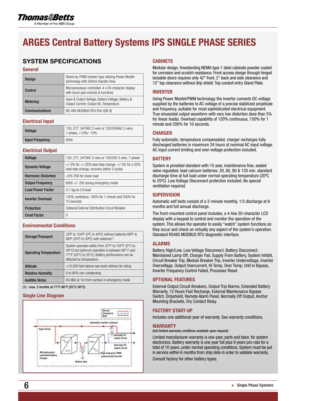### ARGES Central Battery Systems IPS SINGLE PHASE SERIES

#### SYSTEM SPECIFICATIONS

#### **General**

| <b>Design</b>         | Stand-by. PWM inverter type utilizing Power Mosfet<br>technology with 500ms transfer time.   |
|-----------------------|----------------------------------------------------------------------------------------------|
| Control               | Microprocessor controlled, 4 x 20-character display<br>with touch pad controls & functions   |
| <b>Metering</b>       | Input & Output Voltage, Battery Voltage, Battery &<br>Output Current, Output VA, Temperature |
| <b>Communications</b> | RS-485 MODBUS RTU Port (DB-9)                                                                |

#### Electrical Input

| Voltage                | 120, 277, 347VAC 2-wire or 120/240VAC 3-wire,<br>1-phase, $+10\%$ / -15% |
|------------------------|--------------------------------------------------------------------------|
| <b>Input Frequency</b> | 60Hz                                                                     |

#### Electrical Output

| Voltage                    | 120, 277, 347VAC 2-wire or 120/240 3-wire, 1-phase                                                        |
|----------------------------|-----------------------------------------------------------------------------------------------------------|
| <b>Dynamic Voltage</b>     | $+/-2\%$ for $+/-25\%$ load step change, $+/-3\%$ for a 50%<br>load step change, recovery within 3 cycles |
| <b>Harmonic Distortion</b> | <5% THD for linear load                                                                                   |
| <b>Output Frequency</b>    | 60Hz +/- 2Hz during emergency mode                                                                        |
| <b>Load Power Factor</b>   | 0.7 lag to 0.9 lead                                                                                       |
| <b>Inverter Overload</b>   | 120% continious, 150% for 1 minute and 200% for<br>10 seconds                                             |
| <b>Protection</b>          | Optional External Distribution Circuit Breaker                                                            |
| <b>Crest Factor</b>        | 3                                                                                                         |

#### Environmental Conditions

| Storage/Transport            | 32°F to 104°F (0°C to 40°C) without batteries 68°F to<br>86°F (20°C to 30°C) with batteries <sup>(1)</sup>                                                                           |
|------------------------------|--------------------------------------------------------------------------------------------------------------------------------------------------------------------------------------|
| <b>Operating Temperature</b> | System operates safely from 32°F to 104°F (0°C to<br>40°C) but optimum operation is between 68° F and<br>77°F (20°C to 25°C). Battery performance can be<br>affected by temperature. |
| Altitude                     | <10,000 feet (above sea level) without de-rating                                                                                                                                     |
| <b>Relative Humidity</b>     | 0 to 95% non-condensing                                                                                                                                                              |
| <b>Audible Noise</b>         | 45 dBA at 1m from surface in emergency mode                                                                                                                                          |

(1) - max. 3 months at 77°F-86°F (25°C-30°C)

#### Single Line Diagram



#### **CABINETS**

Modular design, freestanding NEMA type 1 steel cabinets powder coated for corrosion and scratch resistance. Front access design through hinged lockable doors requires only 42" front, 2" back and side clearance and 12" top clearance without drip shield. Top conduit entry Gland Plate.

#### INVERTER

Using Power Mosfet/PWM technology the inverter converts DC voltage supplied by the batteries to AC voltage of a precise stabilized amplitude and frequency, suitable for most sophisticated electrical equipment. True sinusoidal output waveform with very low distortion (less than 5% for linear loads). Overload capability of 120% continuous, 150% for 1 minute and 200% for 10 seconds.

#### **CHARGER**

Fully automatic, temperature compensated, charger recharges fully discharged batteries in maximum 24 hours at nominal AC input voltage. AC input current limiting and over-voltage protection included.

#### **BATTERY**

System is provided standard with 10 year, maintenance free, sealed valve regulated, lead calcium batteries. 30, 60, 90 & 120 min. standard discharge time at full load under normal operating temperature (20ºC to 25ºC). Low Voltage Disconnect protection included. No special ventilation required.

#### **SUPERVISION**

Automatic self tests consist of a 2-minute monthly, 1/3 discharge at 6 months and full annual discharge.

The front-mounted control panel includes, a 4-line 20-character LCD display with a keypad to control and monitor the operation of the system. This allows the operator to easily "watch" system functions as they occur and check on virtually any aspect of the system's operation. Standard RS485 MODBUS RTU diagnostic interface.

#### ALARMS

Battery High/Low, Low Voltage Disconnect, Battery Disconnect, Maintained Lamp Off, Charger Fail, Supply From Battery, System Inhibit, Circuit Breaker Trip, Module Breaker Trip, Inverter Undervoltage, Inverter Overvoltage, Output Overcurrent, Hi Temp, Over Temp, Unit in Bypass, Inverter Frequency Control Failed, Processor Reset.

#### OPTIONAL FEATURES

External Output Circuit Breakers, Output Trip Alarms, Extended Battery Warranty, 12 Hours Fast Recharge, External Maintenance Bypass Switch. Dripshield, Remote Alarm Panel, Normally Off Output, Anchor Mounting Brackets, Dry Contact Relay.

#### FACTORY START-UP

Includes one additional year of warranty. See warranty conditions.

#### WARRANTY

(full limited warranty conditions available upon request)

Limited manufacturer warranty is one-year, parts and labor, for system electronics. Battery warranty is one year full plus 9 years pro-rata for a total of 10 years, under normal operating conditions. System must be put in service within 6 months from ship date in order to validate warranty.

Consult factory for other battery types.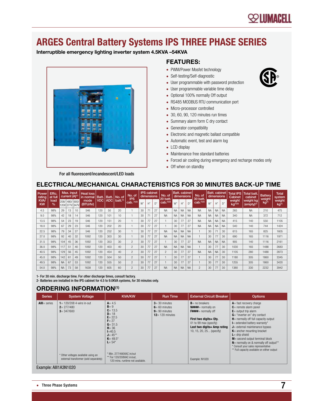### **SOLUMACELL**

### ARGES Central Battery Systems IPS THREE PHASE SERIES

Interruptible emergency lighting inverter system 4.5KVA –54KVA



#### Features:

- PWM/Power Mosfet technology
- Self-testing/Self-diagnostic
- User programmable with password protection
- User programmable variable time delay
- Optional 100% normally Off output
- RS485 MODBUS RTU communication port
- Micro-processor controlled
- 30, 60, 90, 120 minutes run times
- Summary alarm form C dry contact
- Generator compatibility
- Electronic and magnetic ballast compatible
- Automatic event, test and alarm log
- LCD display
- Maintenance free standard batteries
- Forced air cooling during emergency and recharge modes only
- Off when on standby

#### ELECTRICAL/MECHANICAL CHARACTERISTICS for 30 minutes back-up time

| Power<br>rating         | Effic.<br>at full     |           | Max. input<br>current (A) <sup>(1)</sup> |    | Heat loss<br>in normal | Batt.      | Batt. | No. of         | No. of<br><b>IPS</b> |    | <b>IPS</b> cabinet<br>dimensions |    | No. of<br>20 batt      |           | <b>Batt.</b> cabinet<br>dimensions |             | No. of<br>30 batt | <b>Batt.</b> cabinet | dimensions |           | <b>Total IPS</b><br>Cabinet            | Total batt.<br>cabinet       | <b>Battery</b><br>weight | <b>Total</b><br>system      |
|-------------------------|-----------------------|-----------|------------------------------------------|----|------------------------|------------|-------|----------------|----------------------|----|----------------------------------|----|------------------------|-----------|------------------------------------|-------------|-------------------|----------------------|------------|-----------|----------------------------------------|------------------------------|--------------------------|-----------------------------|
| <b>KVA</b><br><b>KW</b> | load<br>$\frac{1}{2}$ | 208/      | 480/ 600/<br>120V 277V 347V              |    | mode<br>(BTU/hr)       | <b>VDC</b> | ADC   | $b$ att. $(1)$ | $cab.$ (1)(2)        | W" | H''                              | D" | cab. <sup>(1)(2)</sup> | W"        | H''                                | $\bigcap$ " | cab.(1)(2)        | W"                   | H''        | D''       | weight<br>$\mathsf{kg}^{(\bar{1})(2)}$ | weight kg<br>$(empty)^{(1)}$ | kg <sup>(1)</sup>        | weight<br>kg <sup>(1)</sup> |
| 4.5                     | 98%                   | 29        | 13                                       | 10 | 546                    | 120        | 50    | 20             |                      | 30 | 7 <sup>1</sup>                   | 27 | <b>NA</b>              | <b>NA</b> | <b>NA</b>                          | <b>NA</b>   | <b>NA</b>         | <b>NA</b>            | <b>NA</b>  | <b>NA</b> | 265                                    | <b>NA</b>                    | 210                      | 475                         |
| 9.0                     | 98%                   | 42        | 18                                       | 14 | 546                    | 120        | 101   | 10             |                      | 30 | 7 <sup>1</sup>                   | 27 | <b>NA</b>              | <b>NA</b> | <b>NA</b>                          | <b>NA</b>   | <b>NA</b>         | <b>NA</b>            | <b>NA</b>  | <b>NA</b> | 340                                    | <b>NA</b>                    | 372                      | 712                         |
| 13.5                    | 98%                   | 54        | 23                                       | 19 | 546                    | 120        | 151   | 20             |                      | 30 | 77                               | 27 |                        | 30        | 77                                 | 27          | <b>NA</b>         | <b>NA</b>            | <b>NA</b>  | <b>NA</b> | 415                                    | 140                          | 550                      | 1105                        |
| 18.0                    | 98%                   | 67        | 29                                       | 23 | 546                    | 120        | 202   | 20             |                      | 30 | 77                               | 27 |                        | 30        | 77                                 | 27          | <b>NA</b>         | <b>NA</b>            | <b>NA</b>  | <b>NA</b> | 540                                    | 140                          | 744                      | 1424                        |
| 22.5                    | 98%                   | 79        | 34                                       | 27 | 546                    | 120        | 252   | 30             | н                    | 30 | 77                               | 27 | <b>NA</b>              | <b>NA</b> | <b>NA</b>                          | <b>NA</b>   |                   | 30                   | 71         | 30        | 615                                    | 165                          | 825                      | 1605                        |
| 27.0                    | 98%                   | 92        | 40                                       | 32 | 1092                   | 120        | 303   | 30             |                      | 30 | 77                               | 27 | <b>NA</b>              | <b>NA</b> | <b>NA</b>                          | <b>NA</b>   |                   | 30                   | 77         | 30        | 690                                    | 165                          | 1116                     | 1971                        |
| 31.5                    | 98%                   | 104       | 45                                       | 36 | 1092                   | 120        | 353   | 30             | $\overline{2}$       | 30 | 77                               | 27 |                        | 30        | 77                                 | 27          | <b>NA</b>         | <b>NA</b>            | <b>NA</b>  | <b>NA</b> | 905                                    | 140                          | 1116                     | 2161                        |
| 36.0                    | 98%                   | 117       | 51                                       | 40 | 1092                   | 120        | 403   | 40             | $\overline{2}$       | 30 | 77                               | 27 | <b>NA</b>              | <b>NA</b> | <b>NA</b>                          | <b>NA</b>   |                   | 30                   | 77         | 30        | 1030                                   | 165                          | 1488                     | 2683                        |
| 40.5                    | 98%                   | 129       | 56                                       | 45 | 1092                   | 120        | 454   | 40             | $\mathfrak{p}$       | 30 | 77                               | 27 | $\overline{2}$         | 30        | 77                                 | 27          | <b>NA</b>         | <b>NA</b>            | <b>NA</b>  | 30        | 1105                                   | 280                          | 1488                     | 2873                        |
| 45.0                    | 98%                   | 142       | 61                                       | 49 | 1092                   | 120        | 504   | 50             | $\overline{2}$       | 30 | 77                               | 27 |                        | 30        | 77                                 | 27          |                   | 30                   | 77         | 30        | 1180                                   | 305                          | 1860                     | 3345                        |
| 49.5                    | 98%                   | <b>NA</b> | 67                                       | 53 | 1092                   | 120        | 555   | 50             | $\overline{c}$       | 30 | 77                               | 27 |                        | 30        | 77                                 | 27          |                   | 30                   | 77         | 30        | 1255                                   | 305                          | 1860                     | 3420                        |
| 54.0                    | 98%                   | <b>NA</b> | 73                                       | 58 | 1638                   | 120        | 605   | 60             | $\overline{2}$       | 30 | 77                               | 27 | <b>NA</b>              | <b>NA</b> | <b>NA</b>                          | <b>NA</b>   | $\overline{c}$    | 30                   | 77         | 30        | 1380                                   | 330                          | 2232                     | 3942                        |

1- For 30 min. discharge time. For other discharge times, consult factory. 2- Batteries are installed in the IPS cabinet for 4.5 to 9.0KVA systems, for 30 minutes only.

#### ORDERING INFORMATION(1)

| <b>Series</b>  | <b>System Voltage</b>                                                                                                                          | <b>KVA/KW</b>                                                                                                                                                                                                                                            | <b>Run Time</b>                                                                | <b>External Circuit Breaker</b>                                                                                                                                                                       | <b>Options</b>                                                                                                                                                                                                                                                                                                                                                                                                                                                          |
|----------------|------------------------------------------------------------------------------------------------------------------------------------------------|----------------------------------------------------------------------------------------------------------------------------------------------------------------------------------------------------------------------------------------------------------|--------------------------------------------------------------------------------|-------------------------------------------------------------------------------------------------------------------------------------------------------------------------------------------------------|-------------------------------------------------------------------------------------------------------------------------------------------------------------------------------------------------------------------------------------------------------------------------------------------------------------------------------------------------------------------------------------------------------------------------------------------------------------------------|
| $All = series$ | $1 = 120/208$ 4-wire in-out<br>$2 = 277/480$<br>$3 = 347/600$<br>* Other voltages available using an<br>external transformer (sold separately) | $A = 4.5$<br>$B = 9$<br>$C = 13.5$<br>$D = 18$<br>$E = 22.5$<br>$F = 27$<br>$G = 31.5$<br>$H = 36$<br>$I = 40.5$<br>$J = 45***$<br>$K = 49.5*$<br>$L = 54*$<br>* Min. 277/480VAC in/out<br>** For 120/208VAC in/out,<br>120 mins, runtime not available. | $3 = 30$ minutes<br>$6 = 60$ minutes<br>$9 = 90$ minutes<br>$12 = 120$ minutes | $B = no$ breakers<br>$N$ ####= normally on<br>$F$ ####= normally off<br>First two digits= 0tv.<br>01 to 99 max (specify)<br>Last two digits= Amp rating<br>10, 15, 20, 25 (specify)<br>Example: N1020 | $A =$ fast recovery charge<br>$C$ = remote alarm panel<br>$E$ = output trip alarm<br>$G =$ "inverter on" dry contact<br>$H$ = normally off full capacity output<br>$I$ = extended battery warranty*<br>$J$ = external maintenance bypass<br>$K$ = anchor mounting bracket<br>$L =$ drip shield<br>$M$ = second output terminal block<br>$N$ = normally on & normally off output**<br>* Consult your sales representative<br>** Full capacity available on either output |

Example: AIII1A3N1020

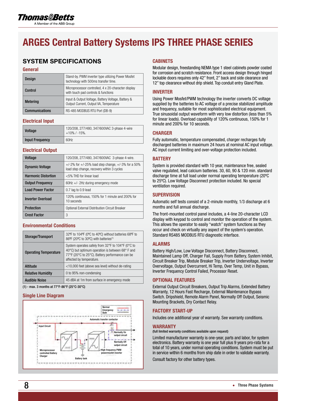### ARGES Central Battery Systems IPS THREE PHASE SERIES

### SYSTEM SPECIFICATIONS

#### General

| <b>Design</b>         | Stand-by. PWM inverter type utilizing Power Mosfet<br>technology with 500ms transfer time.   |
|-----------------------|----------------------------------------------------------------------------------------------|
| Control               | Microprocessor controlled, 4 x 20-character display<br>with touch pad controls & functions   |
| <b>Metering</b>       | Input & Output Voltage, Battery Voltage, Battery &<br>Output Current, Output VA, Temperature |
| <b>Communications</b> | RS-485 MODBUS RTU Port (DB-9)                                                                |

#### Electrical Input

| <b>Voltage</b>         | 120/208, 277/480, 347/600VAC 3-phase 4-wire<br>$+10\%$ / $-15\%$ . |
|------------------------|--------------------------------------------------------------------|
| <b>Input Frequency</b> | 60Hz                                                               |

#### Electrical Output

| Voltage                    | 120/208, 277/480, 347/600VAC 3-phase 4-wire.                                                              |
|----------------------------|-----------------------------------------------------------------------------------------------------------|
| <b>Dynamic Voltage</b>     | $+/-2\%$ for $+/-25\%$ load step change, $+/-3\%$ for a 50%<br>load step change, recovery within 3 cycles |
| <b>Harmonic Distortion</b> | <5% THD for linear load                                                                                   |
| <b>Output Frequency</b>    | 60Hz $+/-$ 2Hz during emergency mode                                                                      |
| <b>Load Power Factor</b>   | 0.7 lag to 0.9 lead                                                                                       |
| <b>Inverter Overload</b>   | 120% continuous, 150% for 1 minute and 200% for<br>10 seconds                                             |
| <b>Protection</b>          | Optional External Distribution Circuit Breaker                                                            |
| <b>Crest Factor</b>        | 3                                                                                                         |

#### Environmental Conditions

| Storage/Transport            | 32°F to 104°F (0°C to 40°C) without batteries 68°F to<br>86°F (20°C to 30°C) with batteries <sup>(1)</sup>                                                                          |  |  |
|------------------------------|-------------------------------------------------------------------------------------------------------------------------------------------------------------------------------------|--|--|
| <b>Operating Temperature</b> | System operates safely from 32°F to 104°F (0°C to<br>40°C) but optimum operation is between 68°F and<br>77°F (20°C to 25°C). Battery performance can be<br>affected by temperature. |  |  |
| Altitude                     | <10,000 feet (above sea level) without de-rating                                                                                                                                    |  |  |
| <b>Relative Humidity</b>     | 0 to 95% non-condensing                                                                                                                                                             |  |  |
| <b>Audible Noise</b>         | 45 dBA at 1m from surface in emergency mode                                                                                                                                         |  |  |

(1) - max. 3 months at 77°F-86°F (25°C-30°C)

#### Single Line Diagram



#### **CABINETS**

Modular design, freestanding NEMA type 1 steel cabinets powder coated for corrosion and scratch resistance. Front access design through hinged lockable doors requires only 42" front, 2" back and side clearance and 12" top clearance without drip shield. Top conduit entry Gland Plate.

#### INVERTER

Using Power Mosfet/PWM technology the inverter converts DC voltage supplied by the batteries to AC voltage of a precise stabilized amplitude and frequency, suitable for most sophisticated electrical equipment. True sinusoidal output waveform with very low distortion (less than 5% for linear loads). Overload capability of 120% continuous, 150% for 1 minute and 200% for 10 seconds.

#### **CHARGER**

Fully automatic, temperature compensated, charger recharges fully discharged batteries in maximum 24 hours at nominal AC input voltage. AC input current limiting and over-voltage protection included.

#### **BATTERY**

System is provided standard with 10 year, maintenance free, sealed valve regulated, lead calcium batteries. 30, 60, 90 & 120 min. standard discharge time at full load under normal operating temperature (20ºC to 25ºC). Low Voltage Disconnect protection included. No special ventilation required.

#### **SUPERVISION**

Automatic self tests consist of a 2-minute monthly, 1/3 discharge at 6 months and full annual discharge.

The front-mounted control panel includes, a 4-line 20-character LCD display with keypad to control and monitor the operation of the system. This allows the operator to easily "watch" system functions as they occur and check on virtually any aspect of the system's operation. Standard RS485 MODBUS RTU diagnostic interface.

#### ALARMS

Battery High/Low, Low Voltage Disconnect, Battery Disconnect, Maintained Lamp Off, Charger Fail, Supply From Battery, System Inhibit, Circuit Breaker Trip, Module Breaker Trip, Inverter Undervoltage, Inverter Overvoltage, Output Overcurrent, Hi Temp, Over Temp, Unit in Bypass, Inverter Frequency Control Failed, Processor Reset.

#### OPTIONAL FEATURES

External Output Circuit Breakers, Output Trip Alarms, Extended Battery Warranty, 12 Hours Fast Recharge, External Maintenance Bypass Switch. Dripshield, Remote Alarm Panel, Normally Off Output, Seismic Mounting Brackets, Dry Contact Relay.

#### FACTORY START-UP

Includes one additional year of warranty. See warranty conditions.

#### WARRANTY

(full limited warranty conditions available upon request)

Limited manufacturer warranty is one-year, parts and labor, for system electronics. Battery warranty is one year full plus 9 years pro-rata for a total of 10 years, under normal operating conditions. System must be put in service within 6 months from ship date in order to validate warranty.

Consult factory for other battery types.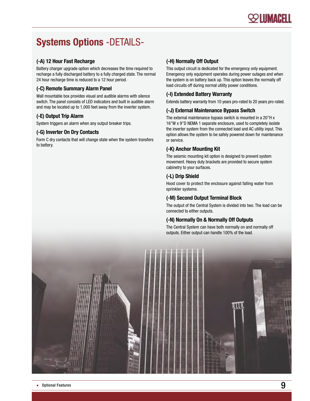### Systems Options -DETAILS-

#### (-A) 12 Hour Fast Recharge

Battery charger upgrade option which decreases the time required to recharge a fully discharged battery to a fully charged state. The normal 24 hour recharge time is reduced to a 12 hour period.

#### (-C) Remote Summary Alarm Panel

Wall mountable box provides visual and audible alarms with silence switch. The panel consists of LED indicators and built in audible alarm and may be located up to 1,000 feet away from the inverter system.

#### (-E) Output Trip Alarm

System triggers an alarm when any output breaker trips.

#### (-G) Inverter On Dry Contacts

Form C dry contacts that will change state when the system transfers to battery.

#### (-H) Normally Off Output

This output circuit is dedicated for the emergency only equipment. Emergency only equipment operates during power outages and when the system is on battery back up. This option leaves the normally off load circuits off during normal utility power conditions.

#### (-I) Extended Battery Warranty

Extends battery warranty from 10 years pro-rated to 20 years pro-rated.

#### (-J) External Maintenance Bypass Switch

The external maintenance bypass switch is mounted in a 20"H x 16"W x 9"D NEMA 1 separate enclosure, used to completely isolate the inverter system from the connected load and AC utility input. This option allows the system to be safely powered down for maintenance or service.

#### (-K) Anchor Mounting Kit

The seismic mounting kit option is designed to prevent system movement. Heavy duty brackets are provided to secure system cabinetry to your surfaces.

#### (-L) Drip Shield

Hood cover to protect the enclosure against falling water from sprinkler systems.

#### (-M) Second Output Terminal Block

The output of the Central System is divided into two. The load can be connected to either outputs.

#### (-N) Normally On & Normally Off Outputs

The Central System can have both normally on and normally off outputs. Either output can handle 100% of the load.

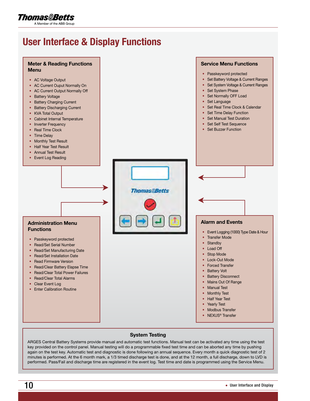### Thomas&Betts

A Member of the ABB Group

### User Interface & Display Functions



#### System Testing

ARGES Central Battery Systems provide manual and automatic test functions. Manual test can be activated any time using the test key provided on the control panel. Manual testing will do a programmable fixed test time and can be aborted any time by pushing again on the test key. Automatic test and diagnostic is done following an annual sequence. Every month a quick diagnostic test of 2 minutes is performed. At the 6 month mark, a 1/3 timed discharge test is done, and at the 12 month, a full discharge, down to LVD is performed. Pass/Fail and discharge time are registered in the event log. Test time and date is programmed using the Service Menu.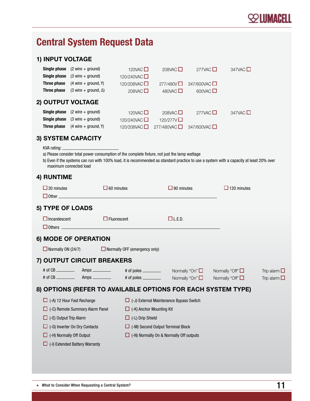

### Central System Request Data

#### 1) INPUT VOLTAGE

|                   | <b>Single phase</b> $(2 \text{ wire} + \text{ground})$ | 120VAC $\square$     | 208VAC $\square$        | 277VAC $\square$        | 347VAC $\square$ |
|-------------------|--------------------------------------------------------|----------------------|-------------------------|-------------------------|------------------|
| Single phase      | $(3 \text{ wire} + \text{ground})$                     | 120/240VAC □         |                         |                         |                  |
| Three phase       | $(4 \text{ wire} + \text{ground}, Y)$                  | 120/208VAC $\square$ | 277/480V                | $347/600$ VAC           |                  |
| Three phase       | $(3 \text{ wire} + \text{ground}, \Delta)$             | 208VAC $\square$     | 480VAC $\square$        | 600VAC $\square$        |                  |
| 2) OUTPUT VOLTAGE |                                                        |                      |                         |                         |                  |
| Single phase      | $(2 \text{ wire} + \text{ground})$                     | 120VAC $\square$     | 208VAC $\square$        | 277VAC $\square$        | 347VAC $\square$ |
| Single phase      | $(3 \text{ wire} + \text{ground})$                     | 120/240VAC $\square$ | 120/277V $\square$      |                         |                  |
| Three phase       | $(4 \text{ wire} + \text{ground}, Y)$                  | 120/208VAC           | $277/480$ VAC $\square$ | $347/600$ VAC $\square$ |                  |
|                   |                                                        |                      |                         |                         |                  |

#### 3) System capacity

KVA rating:

a) Please consider total power consumption of the complete fixture, not just the lamp wattage

b) Even if the systems can run with 100% load, it is recommended as standard practice to use a system with a capacity at least 20% over maximum connected load

#### 4) RUNTIME

|                                                              | $\square$ 30 minutes<br>$\Box$ Other $\Box$ | $\Box$ 60 minutes                        |                                                | $\Box$ 90 minutes    | $\Box$ 120 minutes    |                                        |  |  |  |
|--------------------------------------------------------------|---------------------------------------------|------------------------------------------|------------------------------------------------|----------------------|-----------------------|----------------------------------------|--|--|--|
|                                                              | 5) TYPE OF LOADS                            |                                          |                                                |                      |                       |                                        |  |  |  |
|                                                              | $\Box$ Incandescent<br>$\Box$ Fluorescent   |                                          |                                                | $\Box$ L.E.D.        |                       |                                        |  |  |  |
| 6) MODE OF OPERATION                                         |                                             |                                          |                                                |                      |                       |                                        |  |  |  |
| $\Box$ Normally ON (24/7)                                    |                                             | $\Box$ Normally OFF (emergency only)     |                                                |                      |                       |                                        |  |  |  |
| 7) OUTPUT CIRCUIT BREAKERS                                   |                                             |                                          |                                                |                      |                       |                                        |  |  |  |
|                                                              |                                             |                                          |                                                | Normally "On" $\Box$ | Normally "Off" $\Box$ | Trip alarm $\Box$<br>Trip alarm $\Box$ |  |  |  |
| 8) OPTIONS (REFER TO AVAILABLE OPTIONS FOR EACH SYSTEM TYPE) |                                             |                                          |                                                |                      |                       |                                        |  |  |  |
| $\Box$ (-A) 12 Hour Fast Recharge                            |                                             |                                          | $\Box$ (-J) External Maintenance Bypass Switch |                      |                       |                                        |  |  |  |
| $\Box$ (-C) Remote Summary Alarm Panel                       |                                             | $\Box$ (-K) Anchor Mounting Kit          |                                                |                      |                       |                                        |  |  |  |
| $\Box$ (-E) Output Trip Alarm                                |                                             | $\Box$ (-L) Drip Shield                  |                                                |                      |                       |                                        |  |  |  |
| $\Box$ (-G) Inverter On Dry Contacts                         |                                             | $\Box$ (-M) Second Output Terminal Block |                                                |                      |                       |                                        |  |  |  |
| $\Box$ (-H) Normally Off Output                              |                                             |                                          | $\Box$ (-N) Normally On & Normally Off outputs |                      |                       |                                        |  |  |  |
|                                                              | $\Box$ (-I) Extended Battery Warranty       |                                          |                                                |                      |                       |                                        |  |  |  |